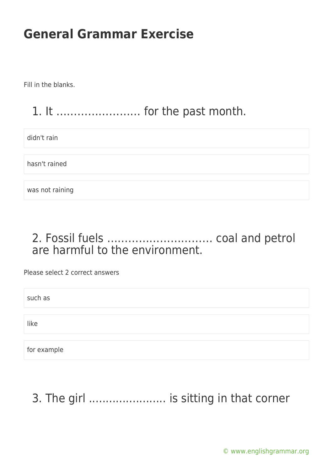Fill in the blanks.

#### 1. It …………………… for the past month.

didn't rain

hasn't rained

was not raining

#### 2. Fossil fuels ………………………… coal and petrol are harmful to the environment.

Please select 2 correct answers

such as

like

for example

## 3. The girl ....................... is sitting in that corner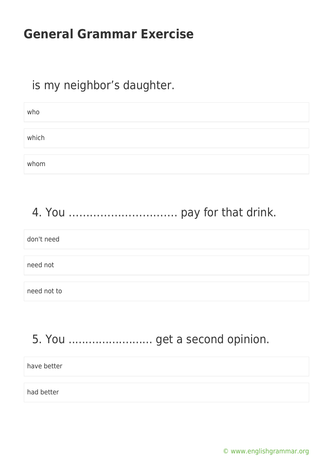#### is my neighbor's daughter.

| who   |  |  |
|-------|--|--|
|       |  |  |
| which |  |  |
|       |  |  |
| whom  |  |  |

#### 4. You …………………………. pay for that drink.

# don't need need not need not to

## 5. You ......................... get a second opinion.

| have better |  |  |
|-------------|--|--|
| had better  |  |  |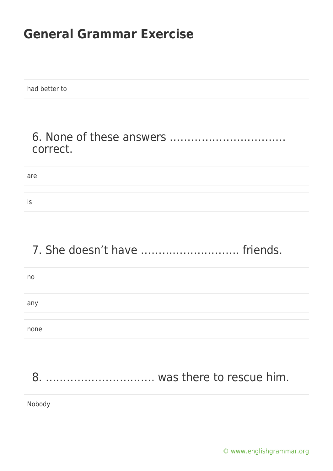had better to

#### 6. None of these answers …………………………… correct.

are

is

#### 7. She doesn't have ………………………. friends.

| no   |  |
|------|--|
|      |  |
| any  |  |
|      |  |
| none |  |

#### 8. …………………………. was there to rescue him.

Nobody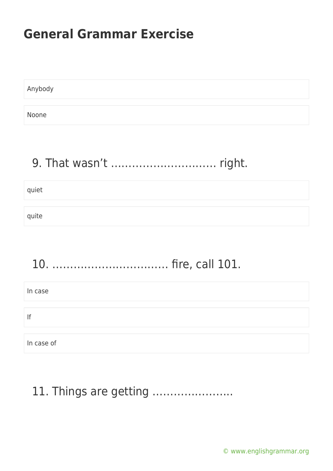Anybody Noone

## 9. That wasn't ………………………… right.

quiet

quite

## 10. …………………………… fire, call 101.

| In case    |  |
|------------|--|
|            |  |
| lf         |  |
|            |  |
| In case of |  |

#### 11. Things are getting …………………..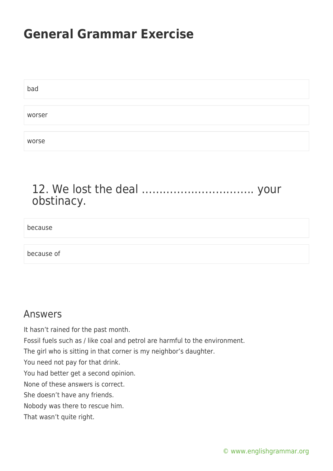| bad    |  |  |  |
|--------|--|--|--|
|        |  |  |  |
| worser |  |  |  |
|        |  |  |  |
| worse  |  |  |  |

#### 12. We lost the deal ………………………….. your obstinacy.

because

because of

#### Answers

It hasn't rained for the past month. Fossil fuels such as / like coal and petrol are harmful to the environment. The girl who is sitting in that corner is my neighbor's daughter. You need not pay for that drink. You had better get a second opinion. None of these answers is correct. She doesn't have any friends. Nobody was there to rescue him. That wasn't quite right.